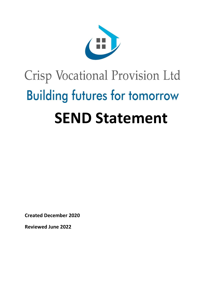

# Crisp Vocational Provision Ltd **Building futures for tomorrow SEND Statement**

**Created December 2020** 

**Reviewed June 2022**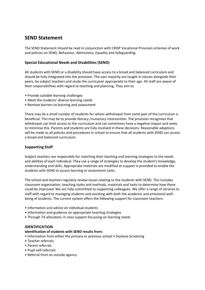# **SEND Statement**

The SEND Statement should be read in conjunction with CRISP Vocational Provision schemes of work and policies on SEND, Behaviour, Admissions, Equality and Safeguarding.

# **Special Educational Needs and Disabilities (SEND)**

All students with SEND or a disability should have access to a broad and balanced curriculum and should be fully integrated into the provision. The vast majority are taught in classes alongside their peers, by subject teachers and study the curriculum appropriate to their age. All staff are aware of their responsibilities with regard to teaching and planning. They aim to:

- Provide suitable learning challenges
- Meet the students' diverse learning needs
- Remove barriers to learning and assessment

There may be a small number of students for whom withdrawal from some part of the curriculum is beneficial. This may be to provide literacy /numeracy intervention. The provision recognises that withdrawal can limit access to the curriculum and can sometimes have a negative impact and seeks to minimise this. Parents and students are fully involved in these decisions. Reasonable adaptions will be made to all policies and procedures in school to ensure that all students with SEND can access a broad and balanced curriculum.

# **Supporting Staff**

Subject teachers are responsible for matching their teaching and learning strategies to the needs and abilities of each individual. They use a range of strategies to develop the student's knowledge, understanding and skills. Appropriate materials are modified or support is provided to enable the students with SEND to access learning or assessment tasks.

The school and teachers regularly review issues relating to the students with SEND. This includes classroom organisation, teaching styles and methods, materials and tasks to determine how these could be improved. We are fully committed to supporting colleagues. We offer a range of services to staff with regard to managing students and assisting with both the academic and emotional wellbeing of students. The current system offers the following support for classroom teachers:

- Information and advice on individual students
- Information and guidance on appropriate teaching strategies
- Through TA allocation; in class support focussing on learning needs

# **IDENTIFICATION**

#### **Identification of students with SEND results from:**

- Information from either the primary or previous school Dyslexia Screening
- Teacher referrals
- Parent referrals
- Pupil self-referrals
- Referral from an outside agency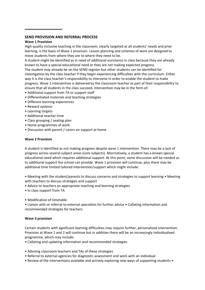#### **SEND PROVISION AND REFERRAL PROCESS**

#### **Wave 1 Provision**

High quality inclusive teaching in the classroom, clearly targeted at all students' needs and prior learning, is the basis of Wave 1 provision. Lesson planning and schemes of work are designed to move students from where they are to where they need to be.

A student might be identified as in need of additional assistance in class because they are already known to have a special educational need or they are not making expected progress.

The student may already be on the SEND register but other students can be identified for investigation by the class teacher if they begin experiencing difficulties with the curriculum. Either way it is the class teacher's responsibility to intervene in order to enable the student to make progress. Wave 1 intervention is delivered by the classroom teacher as part of their responsibility to ensure that all students in the class succeed. Intervention may be in the form of:

- Additional support from TA or support staff
- Differentiated materials and teaching strategies
- Different learning experiences
- Reward systems
- Learning targets
- Additional teacher time
- Class grouping / seating plan
- Home programmes of work
- Discussion with parent / carers on support at home

#### **Wave 2 Provision**

A student is identified as not making progress despite wave 1 intervention. There may be a lack of progress across several subject areas (core subjects). Alternatively, a student has a known special educational need which requires additional support. At this point, some discussion will be needed as to additional support the school can provide. Wave 1 provision will continue, plus there may be additional time limited tailored intervention/support which might include:

• Meeting with the student/parents to discuss concerns and strategies to support learning • Meeting with teachers to discuss strategies and support

- Advice to teachers on appropriate teaching and learning strategies
- In class support from TA
- Modification of timetable

• Liaison with or referral to external specialists for further advice • Collating information and recommended strategies for teachers

#### **Wave 3 provision**

Certain students with significant learning difficulties may require further, personalised intervention. Provision at Wave 1 and 2 will continue but in addition there will be an increasingly individualised programme, which may include:

- Collating and updating information and recommended strategies
- Advising classroom teachers and TAs of these strategies
- Referral to external agencies for diagnostic assessment and work with an individual
- Review of the interventions available and actively exploring new ways of supporting students •